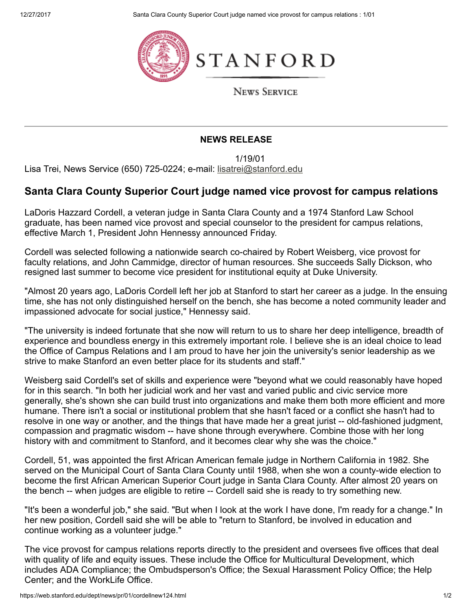12/27/2017 Santa Clara County Superior Court judge named vice provost for campus relations : 1/01





**NEWS SERVICE** 

## NEWS RELEASE

1/19/01

Lisa Trei, News Service (650) 725-0224; e-mail: [lisatrei@stanford.edu](mailto:lisatrei@stanford.edu)

## Santa Clara County Superior Court judge named vice provost for campus relations

LaDoris Hazzard Cordell, a veteran judge in Santa Clara County and a 1974 Stanford Law School graduate, has been named vice provost and special counselor to the president for campus relations, effective March 1, President John Hennessy announced Friday.

Cordell was selected following a nationwide search co-chaired by Robert Weisberg, vice provost for faculty relations, and John Cammidge, director of human resources. She succeeds Sally Dickson, who resigned last summer to become vice president for institutional equity at Duke University.

"Almost 20 years ago, LaDoris Cordell left her job at Stanford to start her career as a judge. In the ensuing time, she has not only distinguished herself on the bench, she has become a noted community leader and impassioned advocate for social justice," Hennessy said.

"The university is indeed fortunate that she now will return to us to share her deep intelligence, breadth of experience and boundless energy in this extremely important role. I believe she is an ideal choice to lead the Office of Campus Relations and I am proud to have her join the university's senior leadership as we strive to make Stanford an even better place for its students and staff."

Weisberg said Cordell's set of skills and experience were "beyond what we could reasonably have hoped for in this search. "In both her judicial work and her vast and varied public and civic service more generally, she's shown she can build trust into organizations and make them both more efficient and more humane. There isn't a social or institutional problem that she hasn't faced or a conflict she hasn't had to resolve in one way or another, and the things that have made her a great jurist -- old-fashioned judgment, compassion and pragmatic wisdom -- have shone through everywhere. Combine those with her long history with and commitment to Stanford, and it becomes clear why she was the choice."

Cordell, 51, was appointed the first African American female judge in Northern California in 1982. She served on the Municipal Court of Santa Clara County until 1988, when she won a county-wide election to become the first African American Superior Court judge in Santa Clara County. After almost 20 years on the bench -- when judges are eligible to retire -- Cordell said she is ready to try something new.

"It's been a wonderful job," she said. "But when I look at the work I have done, I'm ready for a change." In her new position, Cordell said she will be able to "return to Stanford, be involved in education and continue working as a volunteer judge."

The vice provost for campus relations reports directly to the president and oversees five offices that deal with quality of life and equity issues. These include the Office for Multicultural Development, which includes ADA Compliance; the Ombudsperson's Office; the Sexual Harassment Policy Office; the Help Center; and the WorkLife Office.